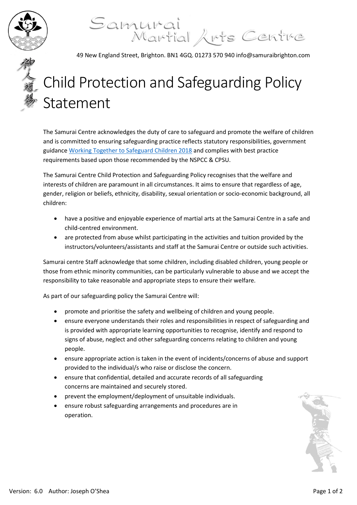

## Samurai<br>Martial Arts Centre

49 New England Street, Brighton. BN1 4GQ. 01273 570 940 info@samuraibrighton.com

## Child Protection and Safeguarding Policy Statement

The Samurai Centre acknowledges the duty of care to safeguard and promote the welfare of children and is committed to ensuring safeguarding practice reflects statutory responsibilities, government guidance [Working Together to Safeguard Children 2018](file:///C:\Users\simonsnell\Library\Mobile%20Documents\com~apple~CloudDocs\Nest%20Management\Working_Together_to_Safeguard_Children-2018.pdf) and complies with best practice requirements based upon those recommended by the NSPCC & CPSU.

The Samurai Centre Child Protection and Safeguarding Policy recognises that the welfare and interests of children are paramount in all circumstances. It aims to ensure that regardless of age, gender, religion or beliefs, ethnicity, disability, sexual orientation or socio-economic background, all children:

- have a positive and enjoyable experience of martial arts at the Samurai Centre in a safe and child-centred environment.
- are protected from abuse whilst participating in the activities and tuition provided by the instructors/volunteers/assistants and staff at the Samurai Centre or outside such activities.

Samurai centre Staff acknowledge that some children, including disabled children, young people or those from ethnic minority communities, can be particularly vulnerable to abuse and we accept the responsibility to take reasonable and appropriate steps to ensure their welfare.

As part of our safeguarding policy the Samurai Centre will:

- promote and prioritise the safety and wellbeing of children and young people.
- ensure everyone understands their roles and responsibilities in respect of safeguarding and is provided with appropriate learning opportunities to recognise, identify and respond to signs of abuse, neglect and other safeguarding concerns relating to children and young people.
- ensure appropriate action is taken in the event of incidents/concerns of abuse and support provided to the individual/s who raise or disclose the concern.
- ensure that confidential, detailed and accurate records of all safeguarding concerns are maintained and securely stored.
- prevent the employment/deployment of unsuitable individuals.
- ensure robust safeguarding arrangements and procedures are in operation.